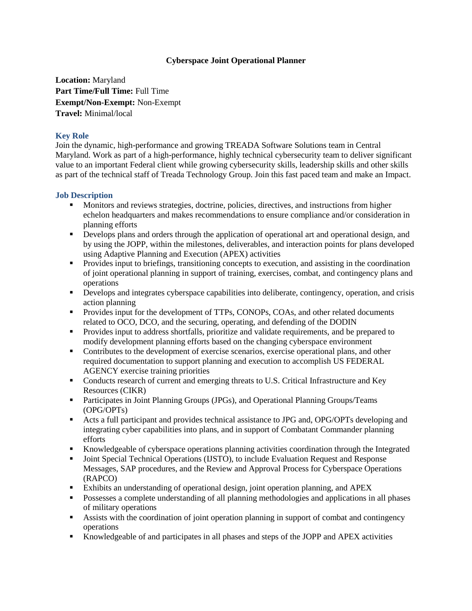## **Cyberspace Joint Operational Planner**

**Location:** Maryland **Part Time/Full Time:** Full Time **Exempt/Non-Exempt:** Non-Exempt **Travel:** Minimal/local

## **Key Role**

Join the dynamic, high-performance and growing TREADA Software Solutions team in Central Maryland. Work as part of a high-performance, highly technical cybersecurity team to deliver significant value to an important Federal client while growing cybersecurity skills, leadership skills and other skills as part of the technical staff of Treada Technology Group. Join this fast paced team and make an Impact.

## **Job Description**

- Monitors and reviews strategies, doctrine, policies, directives, and instructions from higher echelon headquarters and makes recommendations to ensure compliance and/or consideration in planning efforts
- Develops plans and orders through the application of operational art and operational design, and by using the JOPP, within the milestones, deliverables, and interaction points for plans developed using Adaptive Planning and Execution (APEX) activities
- **Provides input to briefings, transitioning concepts to execution, and assisting in the coordination** of joint operational planning in support of training, exercises, combat, and contingency plans and operations
- Develops and integrates cyberspace capabilities into deliberate, contingency, operation, and crisis action planning
- **Provides input for the development of TTPs, CONOPs, COAs, and other related documents** related to OCO, DCO, and the securing, operating, and defending of the DODIN
- Provides input to address shortfalls, prioritize and validate requirements, and be prepared to modify development planning efforts based on the changing cyberspace environment
- Contributes to the development of exercise scenarios, exercise operational plans, and other required documentation to support planning and execution to accomplish US FEDERAL AGENCY exercise training priorities
- Conducts research of current and emerging threats to U.S. Critical Infrastructure and Key Resources (CIKR)
- Participates in Joint Planning Groups (JPGs), and Operational Planning Groups/Teams (OPG/OPTs)
- Acts a full participant and provides technical assistance to JPG and, OPG/OPTs developing and integrating cyber capabilities into plans, and in support of Combatant Commander planning efforts
- Knowledgeable of cyberspace operations planning activities coordination through the Integrated
- Joint Special Technical Operations (IJSTO), to include Evaluation Request and Response Messages, SAP procedures, and the Review and Approval Process for Cyberspace Operations (RAPCO)
- Exhibits an understanding of operational design, joint operation planning, and APEX
- Possesses a complete understanding of all planning methodologies and applications in all phases of military operations
- Assists with the coordination of joint operation planning in support of combat and contingency operations
- Knowledgeable of and participates in all phases and steps of the JOPP and APEX activities